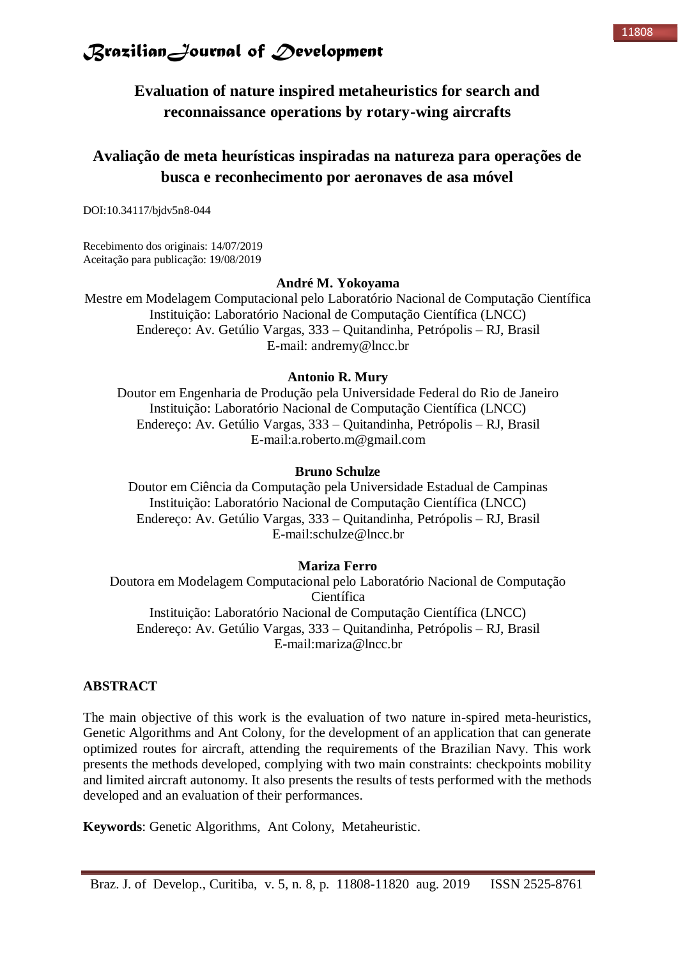

**Evaluation of nature inspired metaheuristics for search and reconnaissance operations by rotary-wing aircrafts**

### **Avaliação de meta heurísticas inspiradas na natureza para operações de busca e reconhecimento por aeronaves de asa móvel**

DOI:10.34117/bjdv5n8-044

Recebimento dos originais: 14/07/2019 Aceitação para publicação: 19/08/2019

#### **André M. Yokoyama**

Mestre em Modelagem Computacional pelo Laboratório Nacional de Computação Científica Instituição: Laboratório Nacional de Computação Científica (LNCC) Endereço: Av. Getúlio Vargas, 333 – Quitandinha, Petrópolis – RJ, Brasil E-mail: [andremy@lncc.br](mailto:andremy@lncc.br)

#### **Antonio R. Mury**

Doutor em Engenharia de Produção pela Universidade Federal do Rio de Janeiro Instituição: Laboratório Nacional de Computação Científica (LNCC) Endereço: Av. Getúlio Vargas, 333 – Quitandinha, Petrópolis – RJ, Brasil E-mail[:a.roberto.m@gmail.com](mailto:andremy@lncc.br) 

#### **Bruno Schulze**

Doutor em Ciência da Computação pela Universidade Estadual de Campinas Instituição: Laboratório Nacional de Computação Científica (LNCC) Endereço: Av. Getúlio Vargas, 333 – Quitandinha, Petrópolis – RJ, Brasil E-mail:schulze@lncc.br

#### **Mariza Ferro**

Doutora em Modelagem Computacional pelo Laboratório Nacional de Computação Científica Instituição: Laboratório Nacional de Computação Científica (LNCC) Endereço: Av. Getúlio Vargas, 333 – Quitandinha, Petrópolis – RJ, Brasil E-mail[:mariza@lncc.br](mailto:mariza@lncc.br)

#### **ABSTRACT**

The main objective of this work is the evaluation of two nature in-spired meta-heuristics, Genetic Algorithms and Ant Colony, for the development of an application that can generate optimized routes for aircraft, attending the requirements of the Brazilian Navy. This work presents the methods developed, complying with two main constraints: checkpoints mobility and limited aircraft autonomy. It also presents the results of tests performed with the methods developed and an evaluation of their performances.

**Keywords**: Genetic Algorithms, Ant Colony, Metaheuristic.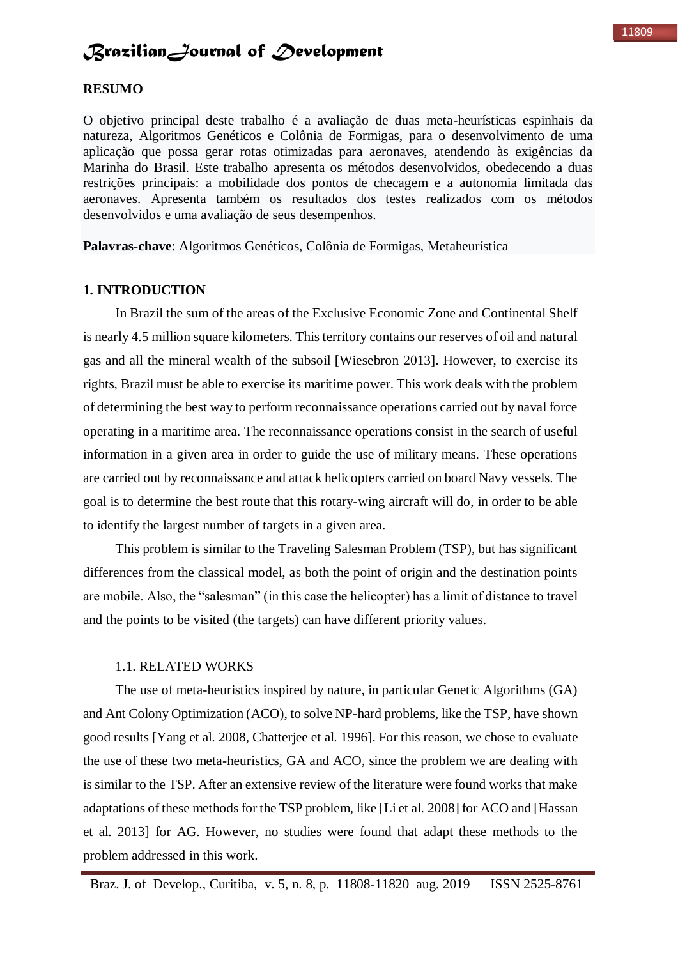#### **RESUMO**

O objetivo principal deste trabalho é a avaliação de duas meta-heurísticas espinhais da natureza, Algoritmos Genéticos e Colônia de Formigas, para o desenvolvimento de uma aplicação que possa gerar rotas otimizadas para aeronaves, atendendo às exigências da Marinha do Brasil. Este trabalho apresenta os métodos desenvolvidos, obedecendo a duas restrições principais: a mobilidade dos pontos de checagem e a autonomia limitada das aeronaves. Apresenta também os resultados dos testes realizados com os métodos desenvolvidos e uma avaliação de seus desempenhos.

**Palavras-chave**: Algoritmos Genéticos, Colônia de Formigas, Metaheurística

#### **1. INTRODUCTION**

In Brazil the sum of the areas of the Exclusive Economic Zone and Continental Shelf is nearly 4.5 million square kilometers. This territory contains our reserves of oil and natural gas and all the mineral wealth of the subsoil [Wiesebron 2013]. However, to exercise its rights, Brazil must be able to exercise its maritime power. This work deals with the problem of determining the best way to perform reconnaissance operations carried out by naval force operating in a maritime area. The reconnaissance operations consist in the search of useful information in a given area in order to guide the use of military means. These operations are carried out by reconnaissance and attack helicopters carried on board Navy vessels. The goal is to determine the best route that this rotary-wing aircraft will do, in order to be able to identify the largest number of targets in a given area.

This problem is similar to the Traveling Salesman Problem (TSP), but has significant differences from the classical model, as both the point of origin and the destination points are mobile. Also, the "salesman" (in this case the helicopter) has a limit of distance to travel and the points to be visited (the targets) can have different priority values.

#### 1.1. RELATED WORKS

The use of meta-heuristics inspired by nature, in particular Genetic Algorithms (GA) and Ant Colony Optimization (ACO), to solve NP-hard problems, like the TSP, have shown good results [Yang et al. 2008, Chatterjee et al. 1996]. For this reason, we chose to evaluate the use of these two meta-heuristics, GA and ACO, since the problem we are dealing with is similar to the TSP. After an extensive review of the literature were found works that make adaptations of these methods for the TSP problem, like [Li et al. 2008] for ACO and [Hassan et al. 2013] for AG. However, no studies were found that adapt these methods to the problem addressed in this work.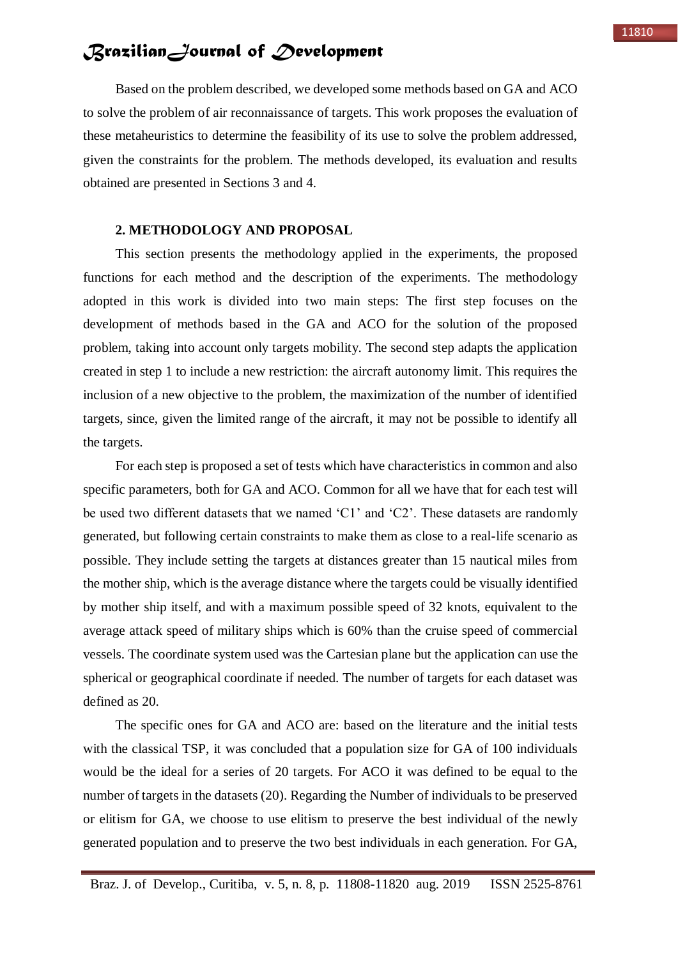Based on the problem described, we developed some methods based on GA and ACO to solve the problem of air reconnaissance of targets. This work proposes the evaluation of these metaheuristics to determine the feasibility of its use to solve the problem addressed, given the constraints for the problem. The methods developed, its evaluation and results obtained are presented in Sections 3 and 4.

#### **2. METHODOLOGY AND PROPOSAL**

This section presents the methodology applied in the experiments, the proposed functions for each method and the description of the experiments. The methodology adopted in this work is divided into two main steps: The first step focuses on the development of methods based in the GA and ACO for the solution of the proposed problem, taking into account only targets mobility. The second step adapts the application created in step 1 to include a new restriction: the aircraft autonomy limit. This requires the inclusion of a new objective to the problem, the maximization of the number of identified targets, since, given the limited range of the aircraft, it may not be possible to identify all the targets.

For each step is proposed a set of tests which have characteristics in common and also specific parameters, both for GA and ACO. Common for all we have that for each test will be used two different datasets that we named 'C1' and 'C2'. These datasets are randomly generated, but following certain constraints to make them as close to a real-life scenario as possible. They include setting the targets at distances greater than 15 nautical miles from the mother ship, which is the average distance where the targets could be visually identified by mother ship itself, and with a maximum possible speed of 32 knots, equivalent to the average attack speed of military ships which is 60% than the cruise speed of commercial vessels. The coordinate system used was the Cartesian plane but the application can use the spherical or geographical coordinate if needed. The number of targets for each dataset was defined as 20.

The specific ones for GA and ACO are: based on the literature and the initial tests with the classical TSP, it was concluded that a population size for GA of 100 individuals would be the ideal for a series of 20 targets. For ACO it was defined to be equal to the number of targets in the datasets (20). Regarding the Number of individuals to be preserved or elitism for GA, we choose to use elitism to preserve the best individual of the newly generated population and to preserve the two best individuals in each generation. For GA,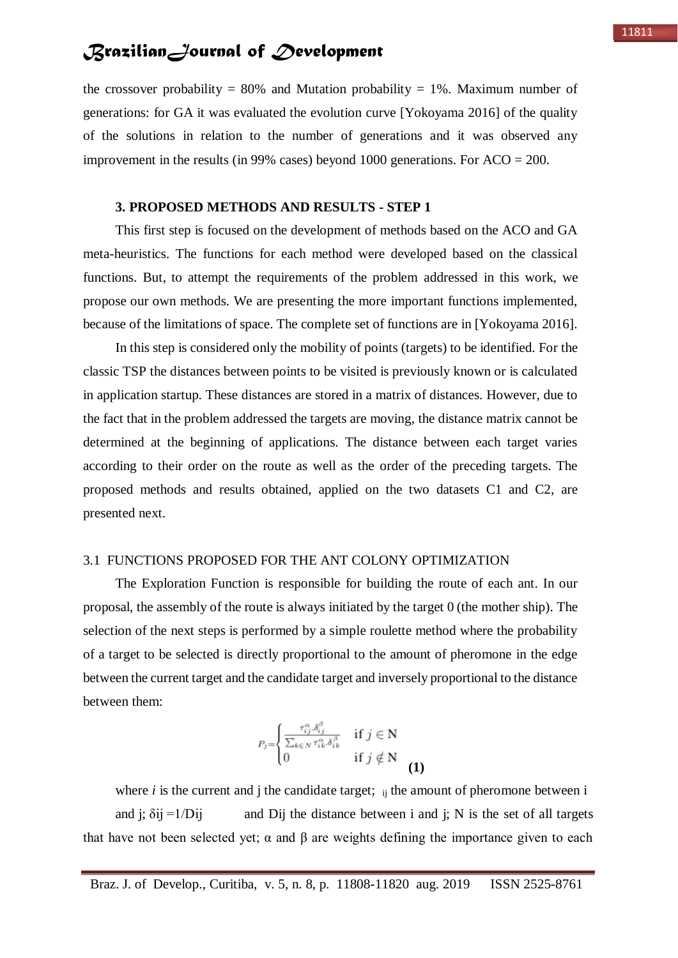the crossover probability = 80% and Mutation probability = 1%. Maximum number of generations: for GA it was evaluated the evolution curve [Yokoyama 2016] of the quality of the solutions in relation to the number of generations and it was observed any improvement in the results (in 99% cases) beyond 1000 generations. For  $ACO = 200$ .

#### **3. PROPOSED METHODS AND RESULTS - STEP 1**

This first step is focused on the development of methods based on the ACO and GA meta-heuristics. The functions for each method were developed based on the classical functions. But, to attempt the requirements of the problem addressed in this work, we propose our own methods. We are presenting the more important functions implemented, because of the limitations of space. The complete set of functions are in [Yokoyama 2016].

In this step is considered only the mobility of points (targets) to be identified. For the classic TSP the distances between points to be visited is previously known or is calculated in application startup. These distances are stored in a matrix of distances. However, due to the fact that in the problem addressed the targets are moving, the distance matrix cannot be determined at the beginning of applications. The distance between each target varies according to their order on the route as well as the order of the preceding targets. The proposed methods and results obtained, applied on the two datasets C1 and C2, are presented next.

#### 3.1 FUNCTIONS PROPOSED FOR THE ANT COLONY OPTIMIZATION

The Exploration Function is responsible for building the route of each ant. In our proposal, the assembly of the route is always initiated by the target 0 (the mother ship). The selection of the next steps is performed by a simple roulette method where the probability of a target to be selected is directly proportional to the amount of pheromone in the edge between the current target and the candidate target and inversely proportional to the distance between them:

$$
P_j = \begin{cases} \frac{\tau_{ij}^{\alpha} \delta_{ij}^{\beta}}{\sum_{k \in N} \tau_{ik}^{\alpha} \delta_{ik}^{\beta}} & \text{if } j \in \mathbb{N} \\ 0 & \text{if } j \notin \mathbb{N} \end{cases}
$$
 (1)

where  $i$  is the current and  $j$  the candidate target;  $\dot{v}$  is the amount of pheromone between  $i$ and j;  $\delta$ ij =1/Dij and Dij the distance between i and j; N is the set of all targets that have not been selected yet;  $\alpha$  and  $\beta$  are weights defining the importance given to each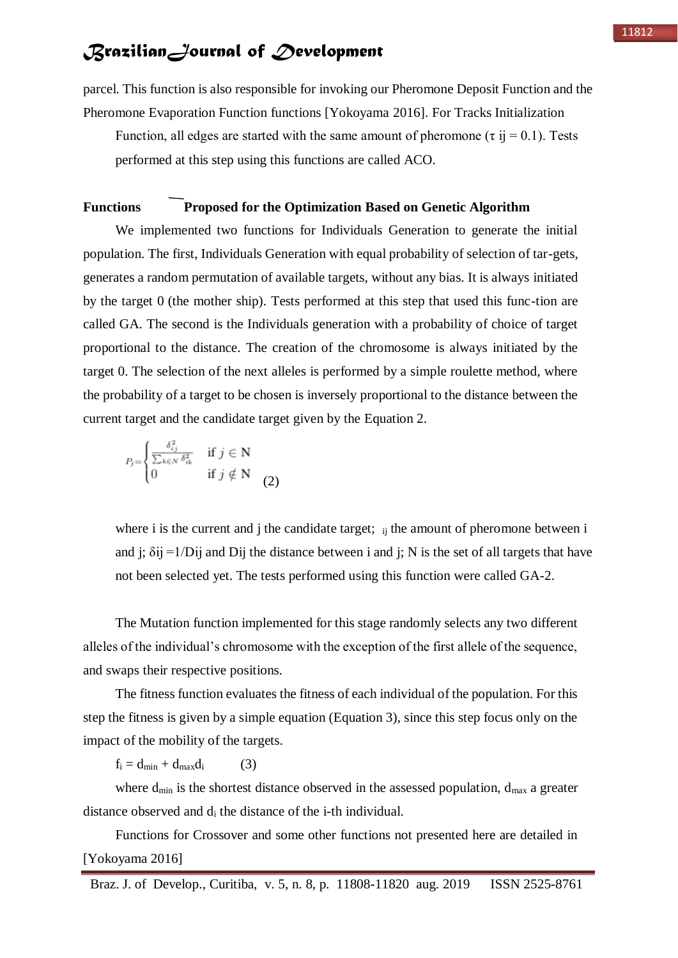parcel. This function is also responsible for invoking our Pheromone Deposit Function and the Pheromone Evaporation Function functions [Yokoyama 2016]. For Tracks Initialization

Function, all edges are started with the same amount of pheromone ( $\tau$  ij = 0.1). Tests performed at this step using this functions are called ACO.

#### **Functions Proposed for the Optimization Based on Genetic Algorithm**

We implemented two functions for Individuals Generation to generate the initial population. The first, Individuals Generation with equal probability of selection of tar-gets, generates a random permutation of available targets, without any bias. It is always initiated by the target 0 (the mother ship). Tests performed at this step that used this func-tion are called GA. The second is the Individuals generation with a probability of choice of target proportional to the distance. The creation of the chromosome is always initiated by the target 0. The selection of the next alleles is performed by a simple roulette method, where the probability of a target to be chosen is inversely proportional to the distance between the current target and the candidate target given by the Equation 2.

$$
P_j = \begin{cases} \frac{\delta_{ij}^2}{\sum_{k \in N} \delta_{ik}^2} & \text{if } j \in \mathbb{N} \\ 0 & \text{if } j \notin \mathbb{N} \end{cases}
$$
 (2)

where i is the current and j the candidate target;  $\mu$  is the amount of pheromone between i and j;  $\delta$ ij =1/Dij and Dij the distance between i and j; N is the set of all targets that have not been selected yet. The tests performed using this function were called GA-2.

The Mutation function implemented for this stage randomly selects any two different alleles of the individual's chromosome with the exception of the first allele of the sequence, and swaps their respective positions.

The fitness function evaluates the fitness of each individual of the population. For this step the fitness is given by a simple equation (Equation 3), since this step focus only on the impact of the mobility of the targets.

 $f_i = d_{min} + d_{max}d_i$  (3)

where  $d_{min}$  is the shortest distance observed in the assessed population,  $d_{max}$  a greater distance observed and d<sup>i</sup> the distance of the i-th individual.

Functions for Crossover and some other functions not presented here are detailed in [Yokoyama 2016]

Braz. J. of Develop., Curitiba, v. 5, n. 8, p. 11808-11820 aug. 2019 ISSN 2525-8761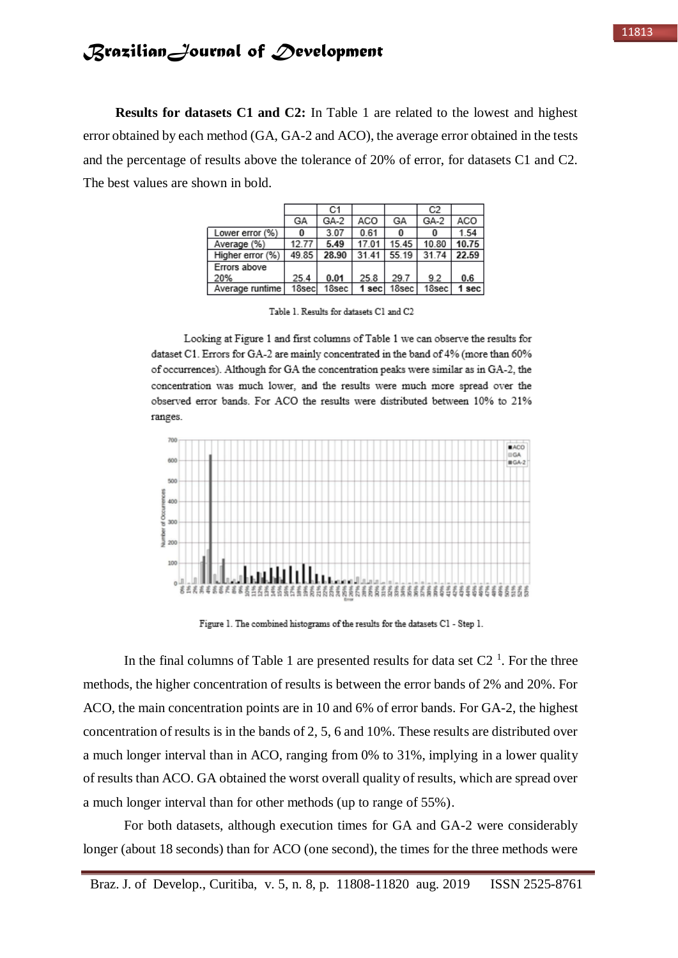**Results for datasets C1 and C2:** In Table 1 are related to the lowest and highest error obtained by each method (GA, GA-2 and ACO), the average error obtained in the tests and the percentage of results above the tolerance of 20% of error, for datasets C1 and C2. The best values are shown in bold.

|                  |       | C1    |       |       | C2    |         |
|------------------|-------|-------|-------|-------|-------|---------|
|                  | GА    | GA-2  | ACO   | GА    | GA-2  | ACO     |
| Lower error (%)  |       | 3.07  | 0.61  | 0     |       | 1.54    |
| Average (%)      | 12.77 | 5.49  | 17.01 | 15.45 | 10.80 | 10.75   |
| Higher error (%) | 49.85 | 28.90 | 31.41 | 55.19 | 31.74 | 22.59   |
| Errors above     |       |       |       |       |       |         |
| 20%              | 25.4  | 0.01  | 25.8  | 29.7  | 9.2   | 0.6     |
| Average runtime  | 18sec | 18sec | 1 sec | 18sec | 18sec | $1$ sec |

Table 1. Results for datasets C1 and C2

Looking at Figure 1 and first columns of Table 1 we can observe the results for dataset C1. Errors for GA-2 are mainly concentrated in the band of 4% (more than 60% of occurrences). Although for GA the concentration peaks were similar as in GA-2, the concentration was much lower, and the results were much more spread over the observed error bands. For ACO the results were distributed between 10% to 21% ranges.



Figure 1. The combined histograms of the results for the datasets C1 - Step 1.

In the final columns of Table 1 are presented results for data set  $C2<sup>1</sup>$ . For the three methods, the higher concentration of results is between the error bands of 2% and 20%. For ACO, the main concentration points are in 10 and 6% of error bands. For GA-2, the highest concentration of results is in the bands of 2, 5, 6 and 10%. These results are distributed over a much longer interval than in ACO, ranging from 0% to 31%, implying in a lower quality of results than ACO. GA obtained the worst overall quality of results, which are spread over a much longer interval than for other methods (up to range of 55%).

For both datasets, although execution times for GA and GA-2 were considerably longer (about 18 seconds) than for ACO (one second), the times for the three methods were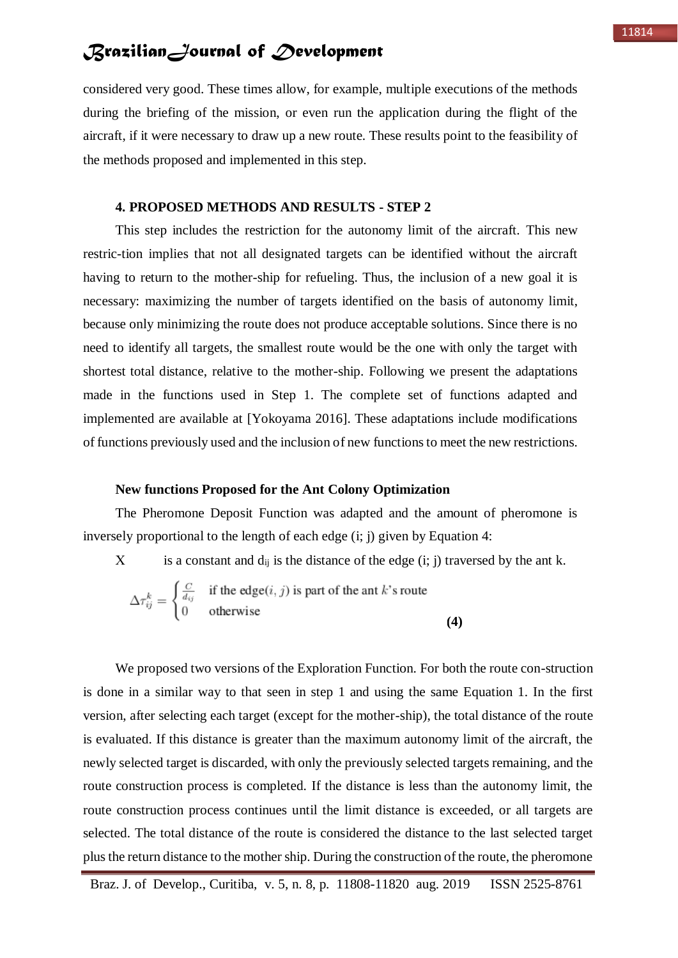considered very good. These times allow, for example, multiple executions of the methods during the briefing of the mission, or even run the application during the flight of the aircraft, if it were necessary to draw up a new route. These results point to the feasibility of the methods proposed and implemented in this step.

#### **4. PROPOSED METHODS AND RESULTS - STEP 2**

This step includes the restriction for the autonomy limit of the aircraft. This new restric-tion implies that not all designated targets can be identified without the aircraft having to return to the mother-ship for refueling. Thus, the inclusion of a new goal it is necessary: maximizing the number of targets identified on the basis of autonomy limit, because only minimizing the route does not produce acceptable solutions. Since there is no need to identify all targets, the smallest route would be the one with only the target with shortest total distance, relative to the mother-ship. Following we present the adaptations made in the functions used in Step 1. The complete set of functions adapted and implemented are available at [Yokoyama 2016]. These adaptations include modifications of functions previously used and the inclusion of new functions to meet the new restrictions.

#### **New functions Proposed for the Ant Colony Optimization**

The Pheromone Deposit Function was adapted and the amount of pheromone is inversely proportional to the length of each edge (i; j) given by Equation 4:

X is a constant and  $d_{ij}$  is the distance of the edge (i; j) traversed by the ant k.

$$
\Delta \tau_{ij}^k = \begin{cases} \frac{C}{d_{ij}} & \text{if the edge}(i, j) \text{ is part of the ant } k \text{'s route} \\ 0 & \text{otherwise} \end{cases}
$$
 (4)

We proposed two versions of the Exploration Function. For both the route con-struction is done in a similar way to that seen in step 1 and using the same Equation 1. In the first version, after selecting each target (except for the mother-ship), the total distance of the route is evaluated. If this distance is greater than the maximum autonomy limit of the aircraft, the newly selected target is discarded, with only the previously selected targets remaining, and the route construction process is completed. If the distance is less than the autonomy limit, the route construction process continues until the limit distance is exceeded, or all targets are selected. The total distance of the route is considered the distance to the last selected target plus the return distance to the mother ship. During the construction of the route, the pheromone

Braz. J. of Develop., Curitiba, v. 5, n. 8, p. 11808-11820 aug. 2019 ISSN 2525-8761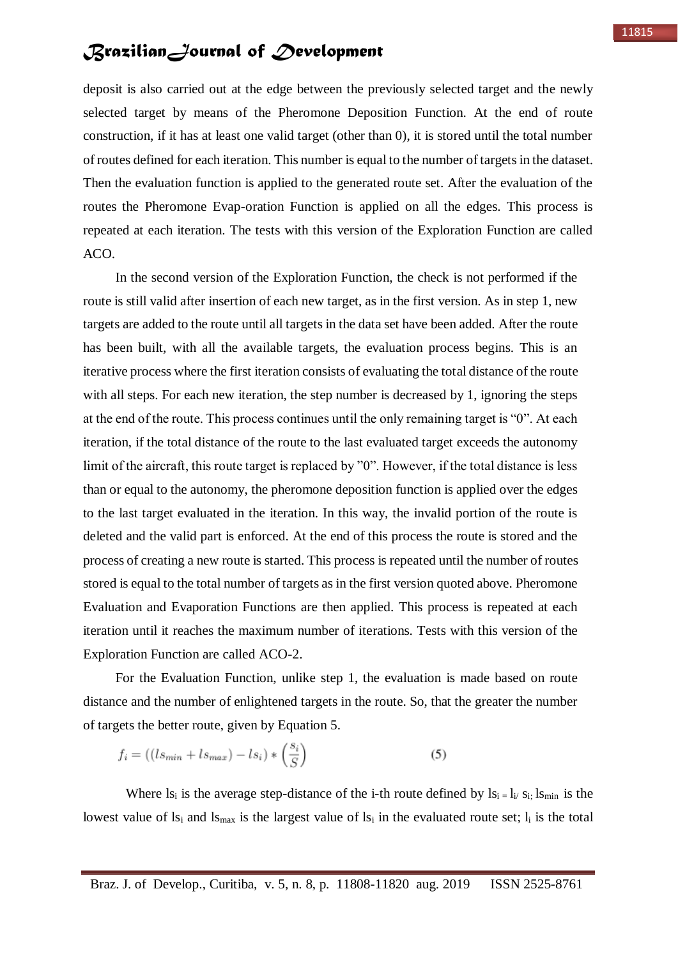deposit is also carried out at the edge between the previously selected target and the newly selected target by means of the Pheromone Deposition Function. At the end of route construction, if it has at least one valid target (other than 0), it is stored until the total number of routes defined for each iteration. This number is equal to the number of targets in the dataset. Then the evaluation function is applied to the generated route set. After the evaluation of the routes the Pheromone Evap-oration Function is applied on all the edges. This process is repeated at each iteration. The tests with this version of the Exploration Function are called ACO.

In the second version of the Exploration Function, the check is not performed if the route is still valid after insertion of each new target, as in the first version. As in step 1, new targets are added to the route until all targets in the data set have been added. After the route has been built, with all the available targets, the evaluation process begins. This is an iterative process where the first iteration consists of evaluating the total distance of the route with all steps. For each new iteration, the step number is decreased by 1, ignoring the steps at the end of the route. This process continues until the only remaining target is "0". At each iteration, if the total distance of the route to the last evaluated target exceeds the autonomy limit of the aircraft, this route target is replaced by "0". However, if the total distance is less than or equal to the autonomy, the pheromone deposition function is applied over the edges to the last target evaluated in the iteration. In this way, the invalid portion of the route is deleted and the valid part is enforced. At the end of this process the route is stored and the process of creating a new route is started. This process is repeated until the number of routes stored is equal to the total number of targets as in the first version quoted above. Pheromone Evaluation and Evaporation Functions are then applied. This process is repeated at each iteration until it reaches the maximum number of iterations. Tests with this version of the Exploration Function are called ACO-2.

For the Evaluation Function, unlike step 1, the evaluation is made based on route distance and the number of enlightened targets in the route. So, that the greater the number of targets the better route, given by Equation 5.

$$
f_i = ((ls_{min} + ls_{max}) - ls_i) * \left(\frac{s_i}{S}\right)
$$
\n
$$
(5)
$$

Where  $ls_i$  is the average step-distance of the i-th route defined by  $ls_i = l_i / s_i$ ;  $ls_{min}$  is the lowest value of  $ls_i$  and  $ls_{max}$  is the largest value of  $ls_i$  in the evaluated route set;  $l_i$  is the total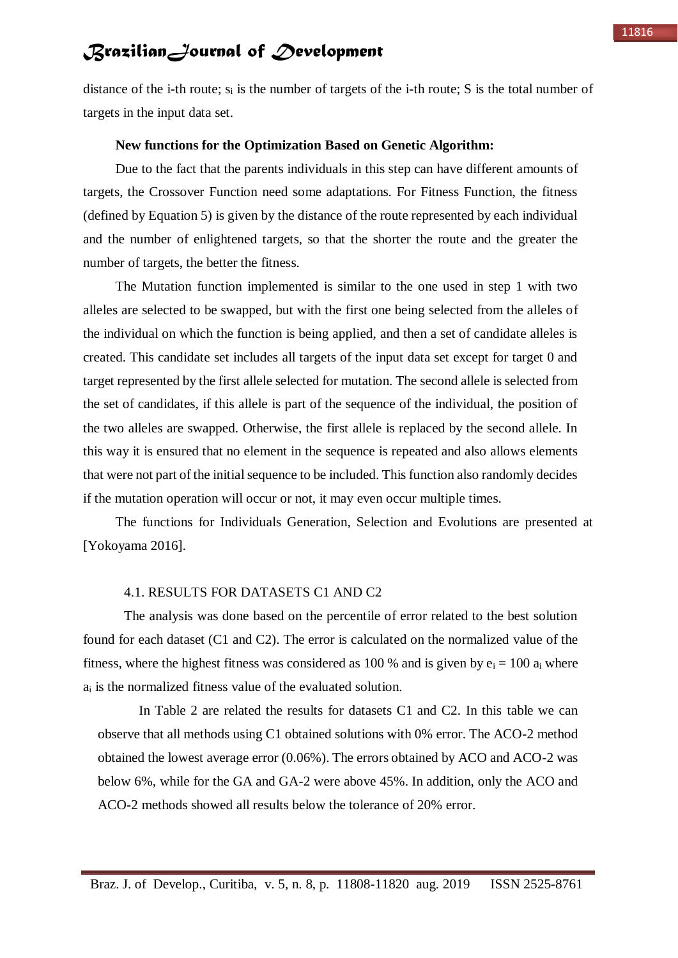distance of the i-th route;  $s_i$  is the number of targets of the i-th route; S is the total number of targets in the input data set.

#### **New functions for the Optimization Based on Genetic Algorithm:**

Due to the fact that the parents individuals in this step can have different amounts of targets, the Crossover Function need some adaptations. For Fitness Function, the fitness (defined by Equation 5) is given by the distance of the route represented by each individual and the number of enlightened targets, so that the shorter the route and the greater the number of targets, the better the fitness.

The Mutation function implemented is similar to the one used in step 1 with two alleles are selected to be swapped, but with the first one being selected from the alleles of the individual on which the function is being applied, and then a set of candidate alleles is created. This candidate set includes all targets of the input data set except for target 0 and target represented by the first allele selected for mutation. The second allele is selected from the set of candidates, if this allele is part of the sequence of the individual, the position of the two alleles are swapped. Otherwise, the first allele is replaced by the second allele. In this way it is ensured that no element in the sequence is repeated and also allows elements that were not part of the initial sequence to be included. This function also randomly decides if the mutation operation will occur or not, it may even occur multiple times.

The functions for Individuals Generation, Selection and Evolutions are presented at [Yokoyama 2016].

#### 4.1. RESULTS FOR DATASETS C1 AND C2

The analysis was done based on the percentile of error related to the best solution found for each dataset (C1 and C2). The error is calculated on the normalized value of the fitness, where the highest fitness was considered as 100 % and is given by  $e_i = 100 a_i$  where a<sup>i</sup> is the normalized fitness value of the evaluated solution.

In Table 2 are related the results for datasets C1 and C2. In this table we can observe that all methods using C1 obtained solutions with 0% error. The ACO-2 method obtained the lowest average error (0.06%). The errors obtained by ACO and ACO-2 was below 6%, while for the GA and GA-2 were above 45%. In addition, only the ACO and ACO-2 methods showed all results below the tolerance of 20% error.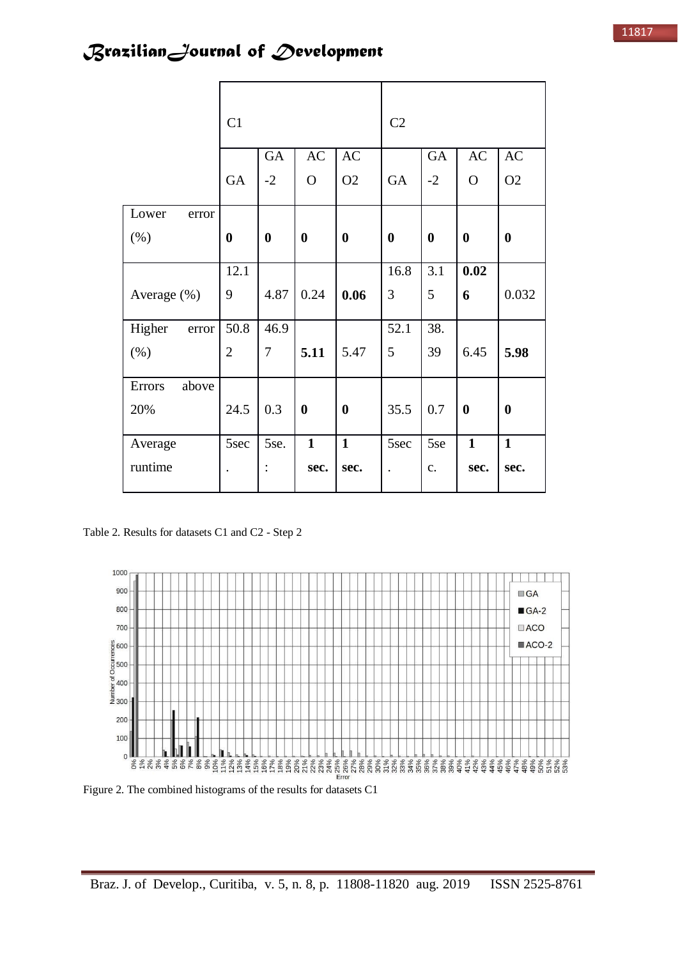|                 | C1               |                |                  |                  | C2                   |                  |              |                  |
|-----------------|------------------|----------------|------------------|------------------|----------------------|------------------|--------------|------------------|
|                 |                  | GA             | <b>AC</b>        | AC               |                      | <b>GA</b>        | AC           | AC               |
|                 | <b>GA</b>        | $-2$           | $\mathbf{O}$     | O <sub>2</sub>   | <b>GA</b>            | $-2$             | $\mathbf O$  | O2               |
| Lower<br>error  |                  |                |                  |                  |                      |                  |              |                  |
| (% )            | $\boldsymbol{0}$ | $\bf{0}$       | $\boldsymbol{0}$ | $\boldsymbol{0}$ | $\bf{0}$             | $\boldsymbol{0}$ | $\bf{0}$     | $\boldsymbol{0}$ |
|                 | 12.1             |                |                  |                  | 16.8                 | $\overline{3.1}$ | 0.02         |                  |
| Average (%)     | 9                | 4.87           | 0.24             | 0.06             | 3                    | 5                | 6            | 0.032            |
| Higher<br>error | 50.8             | 46.9           |                  |                  | 52.1                 | 38.              |              |                  |
| (% )            | $\overline{2}$   | $\overline{7}$ | 5.11             | 5.47             | 5                    | 39               | 6.45         | 5.98             |
| Errors<br>above |                  |                |                  |                  |                      |                  |              |                  |
| 20%             | 24.5             | 0.3            | $\boldsymbol{0}$ | $\boldsymbol{0}$ | 35.5                 | 0.7              | $\bf{0}$     | $\boldsymbol{0}$ |
| Average         | 5sec             | 5se.           | $\mathbf{1}$     | $\mathbf{1}$     | 5sec                 | 5se              | $\mathbf{1}$ | $\mathbf{1}$     |
| runtime         | $\bullet$        | $\ddot{\cdot}$ | sec.             | sec.             | $\ddot{\phantom{0}}$ | c.               | sec.         | sec.             |

Table 2. Results for datasets C1 and C2 - Step 2



Figure 2. The combined histograms of the results for datasets C1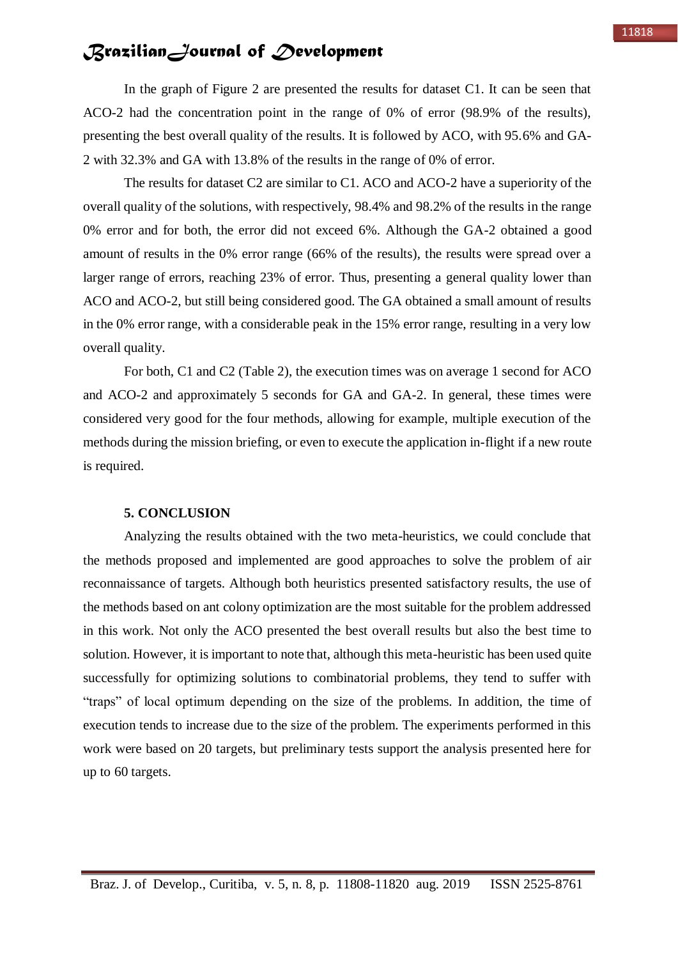In the graph of Figure 2 are presented the results for dataset C1. It can be seen that ACO-2 had the concentration point in the range of 0% of error (98.9% of the results), presenting the best overall quality of the results. It is followed by ACO, with 95.6% and GA-2 with 32.3% and GA with 13.8% of the results in the range of 0% of error.

The results for dataset C2 are similar to C1. ACO and ACO-2 have a superiority of the overall quality of the solutions, with respectively, 98.4% and 98.2% of the results in the range 0% error and for both, the error did not exceed 6%. Although the GA-2 obtained a good amount of results in the 0% error range (66% of the results), the results were spread over a larger range of errors, reaching 23% of error. Thus, presenting a general quality lower than ACO and ACO-2, but still being considered good. The GA obtained a small amount of results in the 0% error range, with a considerable peak in the 15% error range, resulting in a very low overall quality.

For both, C1 and C2 (Table 2), the execution times was on average 1 second for ACO and ACO-2 and approximately 5 seconds for GA and GA-2. In general, these times were considered very good for the four methods, allowing for example, multiple execution of the methods during the mission briefing, or even to execute the application in-flight if a new route is required.

#### **5. CONCLUSION**

Analyzing the results obtained with the two meta-heuristics, we could conclude that the methods proposed and implemented are good approaches to solve the problem of air reconnaissance of targets. Although both heuristics presented satisfactory results, the use of the methods based on ant colony optimization are the most suitable for the problem addressed in this work. Not only the ACO presented the best overall results but also the best time to solution. However, it is important to note that, although this meta-heuristic has been used quite successfully for optimizing solutions to combinatorial problems, they tend to suffer with "traps" of local optimum depending on the size of the problems. In addition, the time of execution tends to increase due to the size of the problem. The experiments performed in this work were based on 20 targets, but preliminary tests support the analysis presented here for up to 60 targets.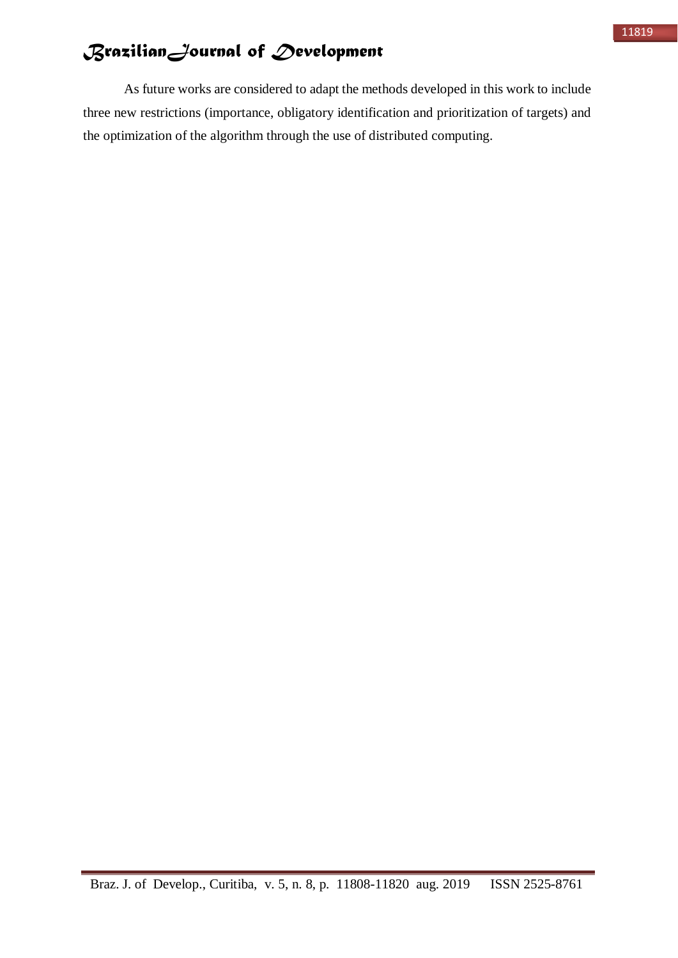As future works are considered to adapt the methods developed in this work to include three new restrictions (importance, obligatory identification and prioritization of targets) and the optimization of the algorithm through the use of distributed computing.